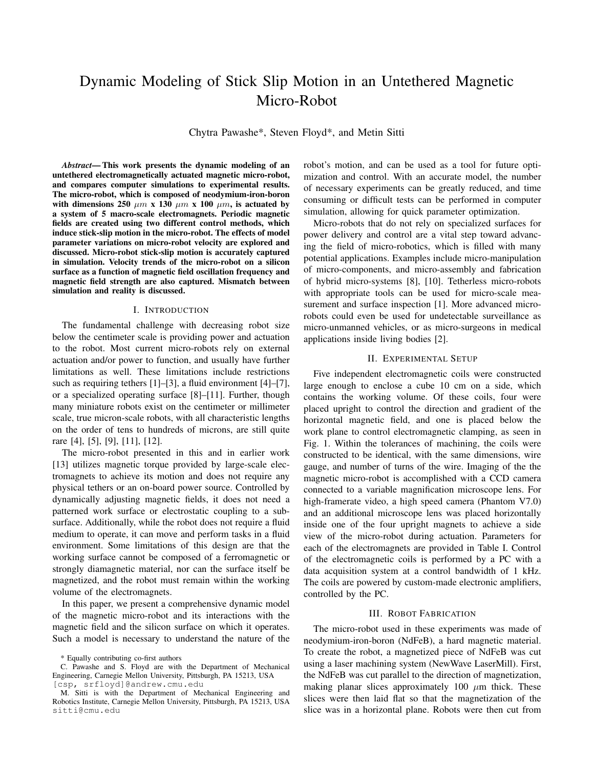# Dynamic Modeling of Stick Slip Motion in an Untethered Magnetic Micro-Robot

Chytra Pawashe\*, Steven Floyd\*, and Metin Sitti

*Abstract*— This work presents the dynamic modeling of an untethered electromagnetically actuated magnetic micro-robot, and compares computer simulations to experimental results. The micro-robot, which is composed of neodymium-iron-boron with dimensions 250  $\mu$ m x 130  $\mu$ m x 100  $\mu$ m, is actuated by a system of 5 macro-scale electromagnets. Periodic magnetic fields are created using two different control methods, which induce stick-slip motion in the micro-robot. The effects of model parameter variations on micro-robot velocity are explored and discussed. Micro-robot stick-slip motion is accurately captured in simulation. Velocity trends of the micro-robot on a silicon surface as a function of magnetic field oscillation frequency and magnetic field strength are also captured. Mismatch between simulation and reality is discussed.

## I. INTRODUCTION

The fundamental challenge with decreasing robot size below the centimeter scale is providing power and actuation to the robot. Most current micro-robots rely on external actuation and/or power to function, and usually have further limitations as well. These limitations include restrictions such as requiring tethers [1]–[3], a fluid environment [4]–[7], or a specialized operating surface [8]–[11]. Further, though many miniature robots exist on the centimeter or millimeter scale, true micron-scale robots, with all characteristic lengths on the order of tens to hundreds of microns, are still quite rare [4], [5], [9], [11], [12].

The micro-robot presented in this and in earlier work [13] utilizes magnetic torque provided by large-scale electromagnets to achieve its motion and does not require any physical tethers or an on-board power source. Controlled by dynamically adjusting magnetic fields, it does not need a patterned work surface or electrostatic coupling to a subsurface. Additionally, while the robot does not require a fluid medium to operate, it can move and perform tasks in a fluid environment. Some limitations of this design are that the working surface cannot be composed of a ferromagnetic or strongly diamagnetic material, nor can the surface itself be magnetized, and the robot must remain within the working volume of the electromagnets.

In this paper, we present a comprehensive dynamic model of the magnetic micro-robot and its interactions with the magnetic field and the silicon surface on which it operates. Such a model is necessary to understand the nature of the robot's motion, and can be used as a tool for future optimization and control. With an accurate model, the number of necessary experiments can be greatly reduced, and time consuming or difficult tests can be performed in computer simulation, allowing for quick parameter optimization.

Micro-robots that do not rely on specialized surfaces for power delivery and control are a vital step toward advancing the field of micro-robotics, which is filled with many potential applications. Examples include micro-manipulation of micro-components, and micro-assembly and fabrication of hybrid micro-systems [8], [10]. Tetherless micro-robots with appropriate tools can be used for micro-scale measurement and surface inspection [1]. More advanced microrobots could even be used for undetectable surveillance as micro-unmanned vehicles, or as micro-surgeons in medical applications inside living bodies [2].

## II. EXPERIMENTAL SETUP

Five independent electromagnetic coils were constructed large enough to enclose a cube 10 cm on a side, which contains the working volume. Of these coils, four were placed upright to control the direction and gradient of the horizontal magnetic field, and one is placed below the work plane to control electromagnetic clamping, as seen in Fig. 1. Within the tolerances of machining, the coils were constructed to be identical, with the same dimensions, wire gauge, and number of turns of the wire. Imaging of the the magnetic micro-robot is accomplished with a CCD camera connected to a variable magnification microscope lens. For high-framerate video, a high speed camera (Phantom V7.0) and an additional microscope lens was placed horizontally inside one of the four upright magnets to achieve a side view of the micro-robot during actuation. Parameters for each of the electromagnets are provided in Table I. Control of the electromagnetic coils is performed by a PC with a data acquisition system at a control bandwidth of 1 kHz. The coils are powered by custom-made electronic amplifiers, controlled by the PC.

## III. ROBOT FABRICATION

The micro-robot used in these experiments was made of neodymium-iron-boron (NdFeB), a hard magnetic material. To create the robot, a magnetized piece of NdFeB was cut using a laser machining system (NewWave LaserMill). First, the NdFeB was cut parallel to the direction of magnetization, making planar slices approximately 100  $\mu$ m thick. These slices were then laid flat so that the magnetization of the slice was in a horizontal plane. Robots were then cut from

<sup>\*</sup> Equally contributing co-first authors

C. Pawashe and S. Floyd are with the Department of Mechanical Engineering, Carnegie Mellon University, Pittsburgh, PA 15213, USA [csp, srfloyd]@andrew.cmu.edu

M. Sitti is with the Department of Mechanical Engineering and Robotics Institute, Carnegie Mellon University, Pittsburgh, PA 15213, USA sitti@cmu.edu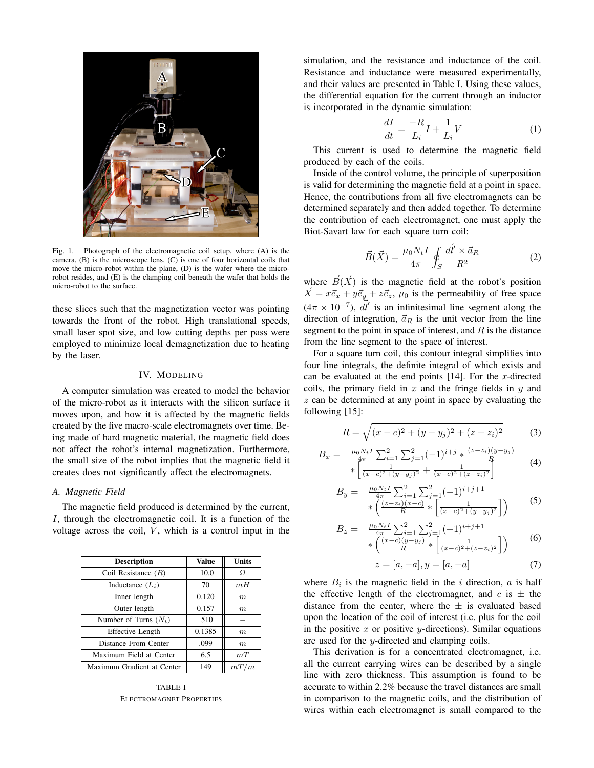

Fig. 1. Photograph of the electromagnetic coil setup, where (A) is the camera, (B) is the microscope lens, (C) is one of four horizontal coils that move the micro-robot within the plane, (D) is the wafer where the microrobot resides, and (E) is the clamping coil beneath the wafer that holds the micro-robot to the surface.

these slices such that the magnetization vector was pointing towards the front of the robot. High translational speeds, small laser spot size, and low cutting depths per pass were employed to minimize local demagnetization due to heating by the laser.

#### IV. MODELING

A computer simulation was created to model the behavior of the micro-robot as it interacts with the silicon surface it moves upon, and how it is affected by the magnetic fields created by the five macro-scale electromagnets over time. Being made of hard magnetic material, the magnetic field does not affect the robot's internal magnetization. Furthermore, the small size of the robot implies that the magnetic field it creates does not significantly affect the electromagnets.

## *A. Magnetic Field*

The magnetic field produced is determined by the current, I, through the electromagnetic coil. It is a function of the voltage across the coil,  $V$ , which is a control input in the

| <b>Description</b>         | <b>Value</b> | <b>Units</b> |
|----------------------------|--------------|--------------|
| Coil Resistance $(R)$      | 10.0         | Ω            |
| Inductance $(L_i)$         | 70           | mH           |
| Inner length               | 0.120        | m            |
| Outer length               | 0.157        | m            |
| Number of Turns $(N_t)$    | 510          |              |
| Effective Length           | 0.1385       | m            |
| Distance From Center       | .099         | m            |
| Maximum Field at Center    | 6.5          | mT           |
| Maximum Gradient at Center | 149          | mT/m         |

TABLE I ELECTROMAGNET PROPERTIES

simulation, and the resistance and inductance of the coil. Resistance and inductance were measured experimentally, and their values are presented in Table I. Using these values, the differential equation for the current through an inductor is incorporated in the dynamic simulation:

$$
\frac{dI}{dt} = \frac{-R}{L_i}I + \frac{1}{L_i}V\tag{1}
$$

This current is used to determine the magnetic field produced by each of the coils.

Inside of the control volume, the principle of superposition is valid for determining the magnetic field at a point in space. Hence, the contributions from all five electromagnets can be determined separately and then added together. To determine the contribution of each electromagnet, one must apply the Biot-Savart law for each square turn coil:

$$
\vec{B}(\vec{X}) = \frac{\mu_0 N_t I}{4\pi} \oint_S \frac{\vec{dl'} \times \vec{a}_R}{R^2} \tag{2}
$$

where  $\vec{B}(\vec{X})$  is the magnetic field at the robot's position  $\vec{X} = x\vec{e}_x + y\vec{e}_y + z\vec{e}_z$ ,  $\mu_0$  is the permeability of free space  $(4\pi \times 10^{-7})$ ,  $\overrightarrow{dl}$  is an infinitesimal line segment along the direction of integration,  $\vec{a}_R$  is the unit vector from the line segment to the point in space of interest, and  $R$  is the distance from the line segment to the space of interest.

For a square turn coil, this contour integral simplifies into four line integrals, the definite integral of which exists and can be evaluated at the end points [14]. For the *x*-directed coils, the primary field in  $x$  and the fringe fields in  $y$  and  $z$  can be determined at any point in space by evaluating the following [15]:

$$
R = \sqrt{(x - c)^2 + (y - y_j)^2 + (z - z_i)^2}
$$
 (3)

$$
B_x = \frac{\mu_0 N_t I}{4\pi} \sum_{i=1}^2 \sum_{j=1}^2 (-1)^{i+j} * \frac{(z-z_i)(y-y_j)}{R}
$$
  
 
$$
* \left[ \frac{1}{(x-c)^2 + (y-y_j)^2} + \frac{1}{(x-c)^2 + (z-z_i)^2} \right]
$$
 (4)

$$
B_y = \frac{\mu_0 N_t I}{4\pi} \sum_{i=1}^2 \sum_{j=1}^2 (-1)^{i+j+1} \times \left( \frac{(z-z_i)(x-c)}{R} \ast \left( \frac{1}{(x-c)^2 + (y-y_j)^2} \right) \right)
$$
(5)

$$
B_z = \frac{\mu_0 N_t I}{4\pi} \sum_{i=1}^2 \sum_{j=1}^2 (-1)^{i+j+1} \times \left( \frac{(x-c)(y-y_j)}{R} \times \left[ \frac{1}{(x-c)^2 + (z-z_i)^2} \right] \right) \tag{6}
$$

$$
z = [a, -a], y = [a, -a]
$$
 (7)

where  $B_i$  is the magnetic field in the *i* direction, *a* is half the effective length of the electromagnet, and c is  $\pm$  the distance from the center, where the  $\pm$  is evaluated based upon the location of the coil of interest (i.e. plus for the coil in the positive  $x$  or positive  $y$ -directions). Similar equations are used for the y-directed and clamping coils.

This derivation is for a concentrated electromagnet, i.e. all the current carrying wires can be described by a single line with zero thickness. This assumption is found to be accurate to within 2.2% because the travel distances are small in comparison to the magnetic coils, and the distribution of wires within each electromagnet is small compared to the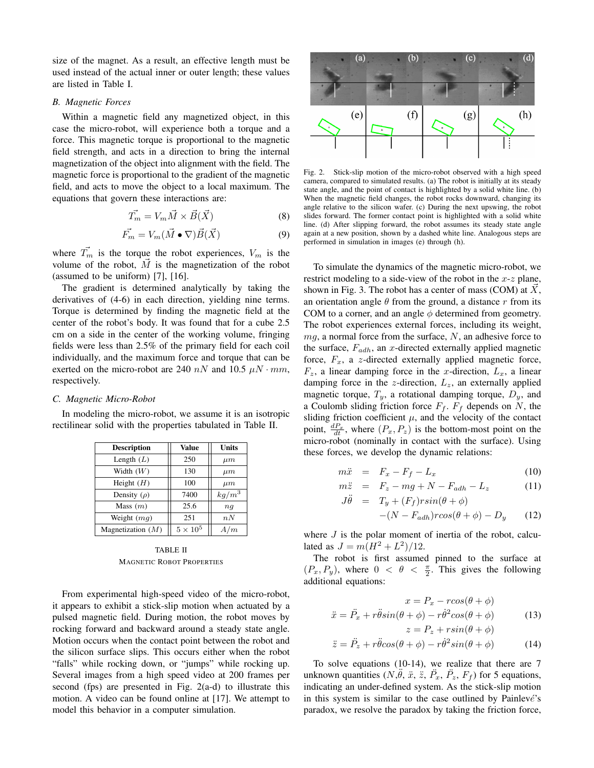size of the magnet. As a result, an effective length must be used instead of the actual inner or outer length; these values are listed in Table I.

## *B. Magnetic Forces*

Within a magnetic field any magnetized object, in this case the micro-robot, will experience both a torque and a force. This magnetic torque is proportional to the magnetic field strength, and acts in a direction to bring the internal magnetization of the object into alignment with the field. The magnetic force is proportional to the gradient of the magnetic field, and acts to move the object to a local maximum. The equations that govern these interactions are:

$$
\vec{T_m} = V_m \vec{M} \times \vec{B}(\vec{X}) \tag{8}
$$

$$
\vec{F_m} = V_m(\vec{M} \bullet \nabla) \vec{B}(\vec{X}) \tag{9}
$$

where  $\overrightarrow{T_m}$  is the torque the robot experiences,  $V_m$  is the volume of the robot,  $\vec{M}$  is the magnetization of the robot (assumed to be uniform) [7], [16].

The gradient is determined analytically by taking the derivatives of (4-6) in each direction, yielding nine terms. Torque is determined by finding the magnetic field at the center of the robot's body. It was found that for a cube 2.5 cm on a side in the center of the working volume, fringing fields were less than 2.5% of the primary field for each coil individually, and the maximum force and torque that can be exerted on the micro-robot are 240 nN and 10.5  $\mu$ N · mm, respectively.

## *C. Magnetic Micro-Robot*

In modeling the micro-robot, we assume it is an isotropic rectilinear solid with the properties tabulated in Table II.

| <b>Description</b>  | <b>Value</b>  | Units             |
|---------------------|---------------|-------------------|
| Length $(L)$        | 250           | $\mu$ m           |
| Width $(W)$         | 130           | $\mu$ m           |
| Height $(H)$        | 100           | $\mu$ m           |
| Density $(\rho)$    | 7400          | kg/m <sup>3</sup> |
| Mass $(m)$          | 25.6          | nq                |
| Weight $(mq)$       | 251           | nN                |
| Magnetization $(M)$ | $5\times10^5$ | A/m               |

TABLE II MAGNETIC ROBOT PROPERTIES

From experimental high-speed video of the micro-robot, it appears to exhibit a stick-slip motion when actuated by a pulsed magnetic field. During motion, the robot moves by rocking forward and backward around a steady state angle. Motion occurs when the contact point between the robot and the silicon surface slips. This occurs either when the robot "falls" while rocking down, or "jumps" while rocking up. Several images from a high speed video at 200 frames per second (fps) are presented in Fig. 2(a-d) to illustrate this motion. A video can be found online at [17]. We attempt to model this behavior in a computer simulation.



Fig. 2. Stick-slip motion of the micro-robot observed with a high speed camera, compared to simulated results. (a) The robot is initially at its steady state angle, and the point of contact is highlighted by a solid white line. (b) When the magnetic field changes, the robot rocks downward, changing its angle relative to the silicon wafer. (c) During the next upswing, the robot slides forward. The former contact point is highlighted with a solid white line. (d) After slipping forward, the robot assumes its steady state angle again at a new position, shown by a dashed white line. Analogous steps are performed in simulation in images (e) through (h).

To simulate the dynamics of the magnetic micro-robot, we restrict modeling to a side-view of the robot in the  $x-z$  plane, shown in Fig. 3. The robot has a center of mass (COM) at  $\vec{X}$ , an orientation angle  $\theta$  from the ground, a distance r from its COM to a corner, and an angle  $\phi$  determined from geometry. The robot experiences external forces, including its weight,  $mg$ , a normal force from the surface,  $N$ , an adhesive force to the surface,  $F_{adh}$ , an x-directed externally applied magnetic force,  $F_x$ , a z-directed externally applied magnetic force,  $F_z$ , a linear damping force in the x-direction,  $L_x$ , a linear damping force in the  $z$ -direction,  $L_z$ , an externally applied magnetic torque,  $T_y$ , a rotational damping torque,  $D_y$ , and a Coulomb sliding friction force  $F_f$ .  $F_f$  depends on N, the sliding friction coefficient  $\mu$ , and the velocity of the contact point,  $\frac{dP_x}{dt}$ , where  $(P_x, P_z)$  is the bottom-most point on the micro-robot (nominally in contact with the surface). Using these forces, we develop the dynamic relations:

$$
m\ddot{x} = F_x - F_f - L_x \tag{10}
$$

$$
m\ddot{z} = F_z - mg + N - F_{adh} - L_z \tag{11}
$$

$$
J\ddot{\theta} = T_y + (F_f)rsin(\theta + \phi)
$$

$$
-(N - F_{adh})r\cos(\theta + \phi) - D_y \qquad (12)
$$

where  $J$  is the polar moment of inertia of the robot, calculated as  $J = m(H^2 + L^2)/12$ .

The robot is first assumed pinned to the surface at  $(P_x, P_y)$ , where  $0 < \theta < \frac{\pi}{2}$ . This gives the following additional equations:

$$
x = P_x - r\cos(\theta + \phi)
$$
  
\n
$$
\ddot{x} = \ddot{P}_x + r\ddot{\theta}\sin(\theta + \phi) - r\dot{\theta}^2\cos(\theta + \phi)
$$
 (13)  
\n
$$
z = P_z + r\sin(\theta + \phi)
$$
  
\n
$$
\ddot{x} = \ddot{P}_z + r\ddot{\theta}\cos(\theta + \phi) - r\dot{\theta}^2\sin(\theta + \phi)
$$
 (14)

$$
\ddot{z} = \ddot{P}_z + r\ddot{\theta}\cos(\theta + \phi) - r\dot{\theta}^2\sin(\theta + \phi) \tag{14}
$$

To solve equations (10-14), we realize that there are 7 unknown quantities  $(N, \ddot{\theta}, \ddot{x}, \ddot{z}, \ddot{P}_x, \ddot{P}_z, F_f)$  for 5 equations, indicating an under-defined system. As the stick-slip motion in this system is similar to the case outlined by Painlevé's paradox, we resolve the paradox by taking the friction force,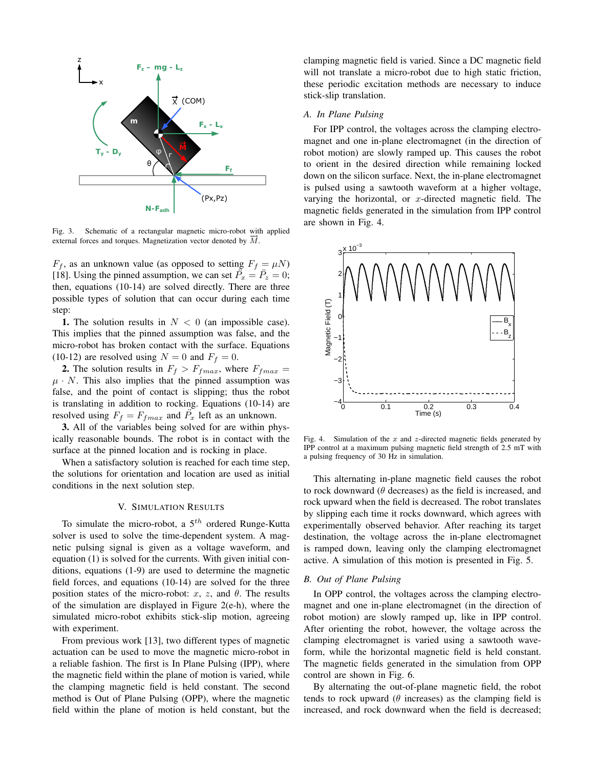

Fig. 3. Schematic of a rectangular magnetic micro-robot with applied external forces and torques. Magnetization vector denoted by  $\overrightarrow{M}$ .

 $F_f$ , as an unknown value (as opposed to setting  $F_f = \mu N$ ) [18]. Using the pinned assumption, we can set  $\tilde{P_x} = \tilde{P_z} = 0$ ; then, equations (10-14) are solved directly. There are three possible types of solution that can occur during each time step:

1. The solution results in  $N < 0$  (an impossible case). This implies that the pinned assumption was false, and the micro-robot has broken contact with the surface. Equations (10-12) are resolved using  $N = 0$  and  $F_f = 0$ .

**2.** The solution results in  $F_f > F_{fmax}$ , where  $F_{fmax}$  =  $\mu$  · N. This also implies that the pinned assumption was false, and the point of contact is slipping; thus the robot is translating in addition to rocking. Equations (10-14) are resolved using  $F_f = F_{fmax}$  and  $\ddot{P_x}$  left as an unknown.

3. All of the variables being solved for are within physically reasonable bounds. The robot is in contact with the surface at the pinned location and is rocking in place.

When a satisfactory solution is reached for each time step, the solutions for orientation and location are used as initial conditions in the next solution step.

## V. SIMULATION RESULTS

To simulate the micro-robot, a  $5<sup>th</sup>$  ordered Runge-Kutta solver is used to solve the time-dependent system. A magnetic pulsing signal is given as a voltage waveform, and equation (1) is solved for the currents. With given initial conditions, equations (1-9) are used to determine the magnetic field forces, and equations (10-14) are solved for the three position states of the micro-robot: x, z, and  $\theta$ . The results of the simulation are displayed in Figure 2(e-h), where the simulated micro-robot exhibits stick-slip motion, agreeing with experiment.

From previous work [13], two different types of magnetic actuation can be used to move the magnetic micro-robot in a reliable fashion. The first is In Plane Pulsing (IPP), where the magnetic field within the plane of motion is varied, while the clamping magnetic field is held constant. The second method is Out of Plane Pulsing (OPP), where the magnetic field within the plane of motion is held constant, but the clamping magnetic field is varied. Since a DC magnetic field will not translate a micro-robot due to high static friction, these periodic excitation methods are necessary to induce stick-slip translation.

## *A. In Plane Pulsing*

For IPP control, the voltages across the clamping electromagnet and one in-plane electromagnet (in the direction of robot motion) are slowly ramped up. This causes the robot to orient in the desired direction while remaining locked down on the silicon surface. Next, the in-plane electromagnet is pulsed using a sawtooth waveform at a higher voltage, varying the horizontal, or  $x$ -directed magnetic field. The magnetic fields generated in the simulation from IPP control are shown in Fig. 4.



Fig. 4. Simulation of the x and z-directed magnetic fields generated by IPP control at a maximum pulsing magnetic field strength of 2.5 mT with a pulsing frequency of 30 Hz in simulation.

This alternating in-plane magnetic field causes the robot to rock downward ( $\theta$  decreases) as the field is increased, and rock upward when the field is decreased. The robot translates by slipping each time it rocks downward, which agrees with experimentally observed behavior. After reaching its target destination, the voltage across the in-plane electromagnet is ramped down, leaving only the clamping electromagnet active. A simulation of this motion is presented in Fig. 5.

#### *B. Out of Plane Pulsing*

In OPP control, the voltages across the clamping electromagnet and one in-plane electromagnet (in the direction of robot motion) are slowly ramped up, like in IPP control. After orienting the robot, however, the voltage across the clamping electromagnet is varied using a sawtooth waveform, while the horizontal magnetic field is held constant. The magnetic fields generated in the simulation from OPP control are shown in Fig. 6.

By alternating the out-of-plane magnetic field, the robot tends to rock upward ( $\theta$  increases) as the clamping field is increased, and rock downward when the field is decreased;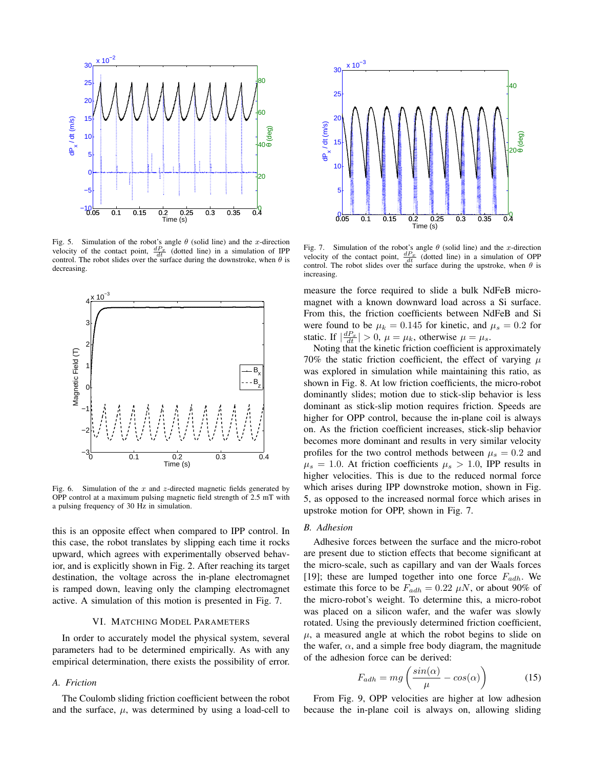

Fig. 5. Simulation of the robot's angle  $\theta$  (solid line) and the *x*-direction velocity of the contact point,  $\frac{dP_x}{dt}$  (dotted line) in a simulation of IPP control. The robot slides over the surface during the downstroke, when  $\theta$  is decreasing.



Fig. 6. Simulation of the  $x$  and  $z$ -directed magnetic fields generated by OPP control at a maximum pulsing magnetic field strength of 2.5 mT with a pulsing frequency of 30 Hz in simulation.

this is an opposite effect when compared to IPP control. In this case, the robot translates by slipping each time it rocks upward, which agrees with experimentally observed behavior, and is explicitly shown in Fig. 2. After reaching its target destination, the voltage across the in-plane electromagnet is ramped down, leaving only the clamping electromagnet active. A simulation of this motion is presented in Fig. 7.

#### VI. MATCHING MODEL PARAMETERS

In order to accurately model the physical system, several parameters had to be determined empirically. As with any empirical determination, there exists the possibility of error.

## *A. Friction*

The Coulomb sliding friction coefficient between the robot and the surface,  $\mu$ , was determined by using a load-cell to



Fig. 7. Simulation of the robot's angle  $\theta$  (solid line) and the *x*-direction velocity of the contact point,  $\frac{dP_x}{dt}$  (dotted line) in a simulation of OPP control. The robot slides over the surface during the upstroke, when  $\theta$  is increasing.

measure the force required to slide a bulk NdFeB micromagnet with a known downward load across a Si surface. From this, the friction coefficients between NdFeB and Si were found to be  $\mu_k = 0.145$  for kinetic, and  $\mu_s = 0.2$  for static. If  $\left|\frac{dP_x}{dt}\right| > 0$ ,  $\mu = \mu_k$ , otherwise  $\mu = \mu_s$ .

Noting that the kinetic friction coefficient is approximately 70% the static friction coefficient, the effect of varying  $\mu$ was explored in simulation while maintaining this ratio, as shown in Fig. 8. At low friction coefficients, the micro-robot dominantly slides; motion due to stick-slip behavior is less dominant as stick-slip motion requires friction. Speeds are higher for OPP control, because the in-plane coil is always on. As the friction coefficient increases, stick-slip behavior becomes more dominant and results in very similar velocity profiles for the two control methods between  $\mu_s = 0.2$  and  $\mu_s = 1.0$ . At friction coefficients  $\mu_s > 1.0$ , IPP results in higher velocities. This is due to the reduced normal force which arises during IPP downstroke motion, shown in Fig. 5, as opposed to the increased normal force which arises in upstroke motion for OPP, shown in Fig. 7.

## *B. Adhesion*

Adhesive forces between the surface and the micro-robot are present due to stiction effects that become significant at the micro-scale, such as capillary and van der Waals forces [19]; these are lumped together into one force  $F_{adh}$ . We estimate this force to be  $F_{adh} = 0.22 \mu N$ , or about 90% of the micro-robot's weight. To determine this, a micro-robot was placed on a silicon wafer, and the wafer was slowly rotated. Using the previously determined friction coefficient,  $\mu$ , a measured angle at which the robot begins to slide on the wafer,  $\alpha$ , and a simple free body diagram, the magnitude of the adhesion force can be derived:

$$
F_{adh} = mg\left(\frac{\sin(\alpha)}{\mu} - \cos(\alpha)\right) \tag{15}
$$

From Fig. 9, OPP velocities are higher at low adhesion because the in-plane coil is always on, allowing sliding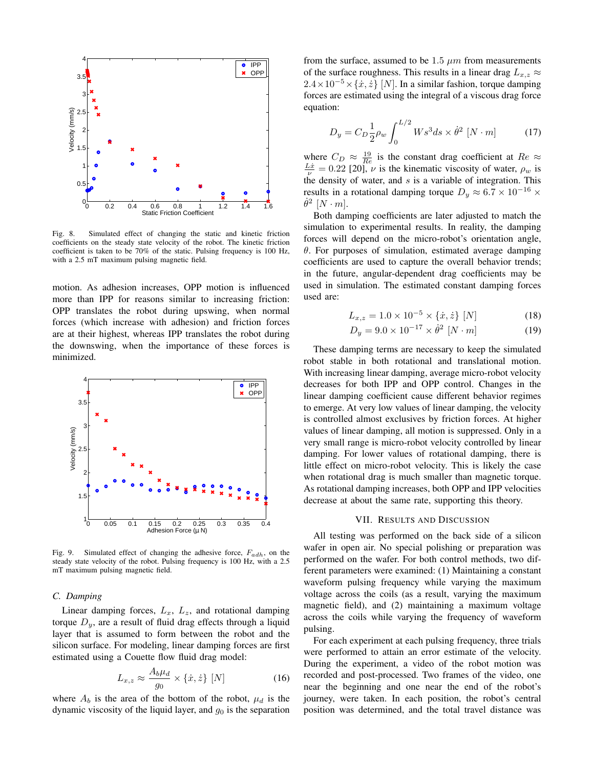

Fig. 8. Simulated effect of changing the static and kinetic friction coefficients on the steady state velocity of the robot. The kinetic friction coefficient is taken to be 70% of the static. Pulsing frequency is 100 Hz, with a 2.5 mT maximum pulsing magnetic field.

motion. As adhesion increases, OPP motion is influenced more than IPP for reasons similar to increasing friction: OPP translates the robot during upswing, when normal forces (which increase with adhesion) and friction forces are at their highest, whereas IPP translates the robot during the downswing, when the importance of these forces is minimized.



Fig. 9. Simulated effect of changing the adhesive force,  $F_{adh}$ , on the steady state velocity of the robot. Pulsing frequency is 100 Hz, with a 2.5 mT maximum pulsing magnetic field.

## *C. Damping*

Linear damping forces,  $L_x$ ,  $L_z$ , and rotational damping torque  $D<sub>y</sub>$ , are a result of fluid drag effects through a liquid layer that is assumed to form between the robot and the silicon surface. For modeling, linear damping forces are first estimated using a Couette flow fluid drag model:

$$
L_{x,z} \approx \frac{A_b \mu_d}{g_0} \times \{\dot{x}, \dot{z}\} \ [N] \tag{16}
$$

where  $A_b$  is the area of the bottom of the robot,  $\mu_d$  is the dynamic viscosity of the liquid layer, and  $g_0$  is the separation from the surface, assumed to be 1.5  $\mu$ m from measurements of the surface roughness. This results in a linear drag  $L_{x,z} \approx$  $2.4\times10^{-5}\times\{\dot{x},\dot{z}\}$  [N]. In a similar fashion, torque damping forces are estimated using the integral of a viscous drag force equation:

$$
D_y = C_D \frac{1}{2} \rho_w \int_0^{L/2} W s^3 ds \times \dot{\theta}^2 \ [N \cdot m] \tag{17}
$$

where  $C_D \approx \frac{19}{Re}$  is the constant drag coefficient at  $Re \approx \frac{L\dot{x}}{\nu} = 0.22$  [20],  $\nu$  is the kinematic viscosity of water,  $\rho_w$  is the density of water, and  $s$  is a variable of integration. This results in a rotational damping torque  $D_y \approx 6.7 \times 10^{-16} \times$  $\dot{\theta}^2\, \left[N\cdot m\right]$ .

Both damping coefficients are later adjusted to match the simulation to experimental results. In reality, the damping forces will depend on the micro-robot's orientation angle,  $\theta$ . For purposes of simulation, estimated average damping coefficients are used to capture the overall behavior trends; in the future, angular-dependent drag coefficients may be used in simulation. The estimated constant damping forces used are:

$$
L_{x,z} = 1.0 \times 10^{-5} \times \{\dot{x}, \dot{z}\} \ [N] \tag{18}
$$

$$
D_y = 9.0 \times 10^{-17} \times \dot{\theta}^2 \ [N \cdot m]
$$
 (19)

These damping terms are necessary to keep the simulated robot stable in both rotational and translational motion. With increasing linear damping, average micro-robot velocity decreases for both IPP and OPP control. Changes in the linear damping coefficient cause different behavior regimes to emerge. At very low values of linear damping, the velocity is controlled almost exclusives by friction forces. At higher values of linear damping, all motion is suppressed. Only in a very small range is micro-robot velocity controlled by linear damping. For lower values of rotational damping, there is little effect on micro-robot velocity. This is likely the case when rotational drag is much smaller than magnetic torque. As rotational damping increases, both OPP and IPP velocities decrease at about the same rate, supporting this theory.

#### VII. RESULTS AND DISCUSSION

All testing was performed on the back side of a silicon wafer in open air. No special polishing or preparation was performed on the wafer. For both control methods, two different parameters were examined: (1) Maintaining a constant waveform pulsing frequency while varying the maximum voltage across the coils (as a result, varying the maximum magnetic field), and (2) maintaining a maximum voltage across the coils while varying the frequency of waveform pulsing.

For each experiment at each pulsing frequency, three trials were performed to attain an error estimate of the velocity. During the experiment, a video of the robot motion was recorded and post-processed. Two frames of the video, one near the beginning and one near the end of the robot's journey, were taken. In each position, the robot's central position was determined, and the total travel distance was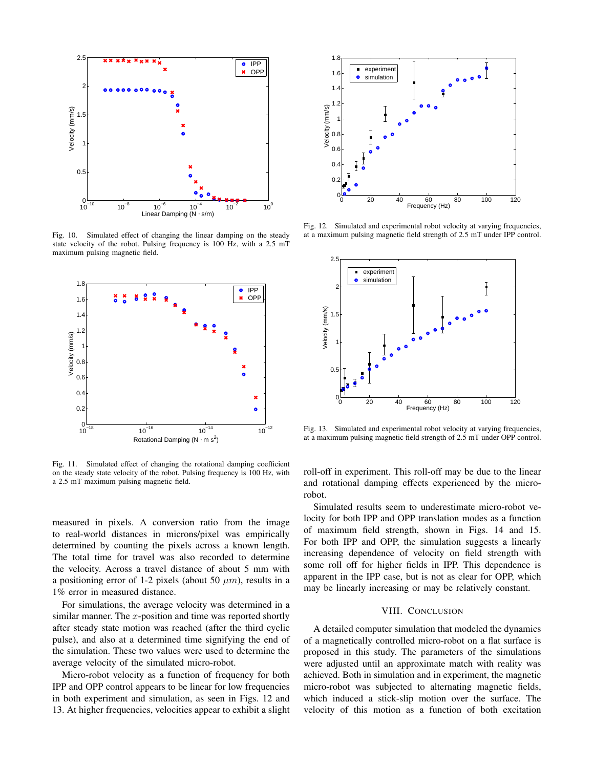

Fig. 10. Simulated effect of changing the linear damping on the steady state velocity of the robot. Pulsing frequency is 100 Hz, with a 2.5 mT maximum pulsing magnetic field.



Fig. 11. Simulated effect of changing the rotational damping coefficient on the steady state velocity of the robot. Pulsing frequency is 100 Hz, with a 2.5 mT maximum pulsing magnetic field.

measured in pixels. A conversion ratio from the image to real-world distances in microns/pixel was empirically determined by counting the pixels across a known length. The total time for travel was also recorded to determine the velocity. Across a travel distance of about 5 mm with a positioning error of 1-2 pixels (about 50  $\mu$ m), results in a 1% error in measured distance.

For simulations, the average velocity was determined in a similar manner. The  $x$ -position and time was reported shortly after steady state motion was reached (after the third cyclic pulse), and also at a determined time signifying the end of the simulation. These two values were used to determine the average velocity of the simulated micro-robot.

Micro-robot velocity as a function of frequency for both IPP and OPP control appears to be linear for low frequencies in both experiment and simulation, as seen in Figs. 12 and 13. At higher frequencies, velocities appear to exhibit a slight



Fig. 12. Simulated and experimental robot velocity at varying frequencies, at a maximum pulsing magnetic field strength of 2.5 mT under IPP control.



Fig. 13. Simulated and experimental robot velocity at varying frequencies, at a maximum pulsing magnetic field strength of 2.5 mT under OPP control.

roll-off in experiment. This roll-off may be due to the linear and rotational damping effects experienced by the microrobot.

Simulated results seem to underestimate micro-robot velocity for both IPP and OPP translation modes as a function of maximum field strength, shown in Figs. 14 and 15. For both IPP and OPP, the simulation suggests a linearly increasing dependence of velocity on field strength with some roll off for higher fields in IPP. This dependence is apparent in the IPP case, but is not as clear for OPP, which may be linearly increasing or may be relatively constant.

### VIII. CONCLUSION

A detailed computer simulation that modeled the dynamics of a magnetically controlled micro-robot on a flat surface is proposed in this study. The parameters of the simulations were adjusted until an approximate match with reality was achieved. Both in simulation and in experiment, the magnetic micro-robot was subjected to alternating magnetic fields, which induced a stick-slip motion over the surface. The velocity of this motion as a function of both excitation